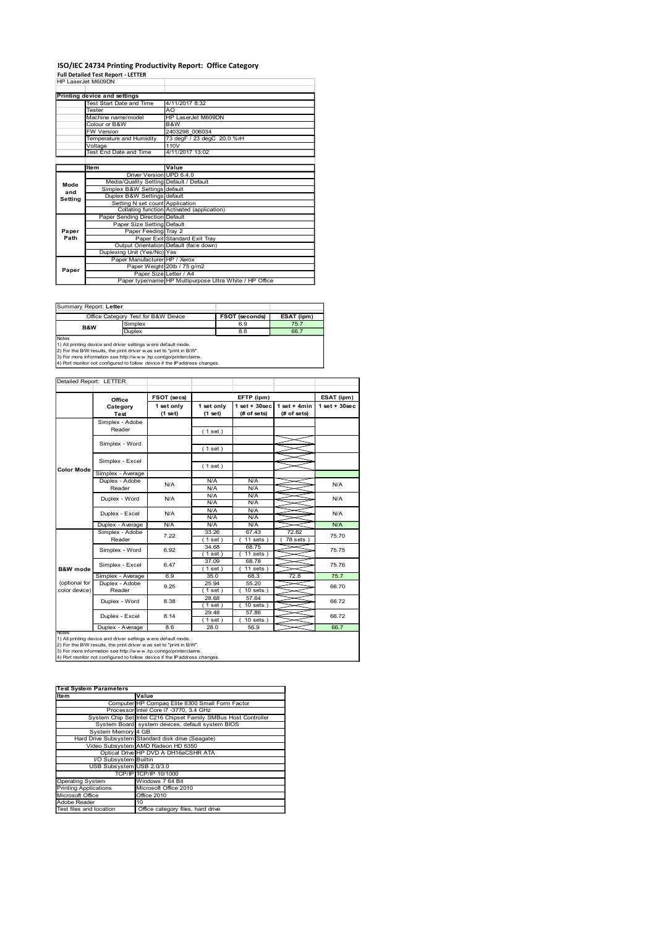# ISO/IEC 24734 Printing Productivity Report: Office Category<br>Full Detailed Test Report - LETTER<br>HP LaserJet M609DN

|                | ISO/IEC 24734 Printing Productivity Report: Office Category<br><b>Full Detailed Test Report - LETTER</b>                                                                                                             |                                            |            |                                                         |                    |                                  |
|----------------|----------------------------------------------------------------------------------------------------------------------------------------------------------------------------------------------------------------------|--------------------------------------------|------------|---------------------------------------------------------|--------------------|----------------------------------|
|                | HP LaserJet M609DN                                                                                                                                                                                                   |                                            |            |                                                         |                    |                                  |
|                | Printing device and settings<br>Test Start Date and Time                                                                                                                                                             | 4/11/2017 8:32                             |            |                                                         |                    |                                  |
|                | Tester<br>Machine name/model                                                                                                                                                                                         | AO<br>HP LaserJet M609DN                   |            |                                                         |                    |                                  |
|                | Colour or B&W<br>FW Version                                                                                                                                                                                          | B&W<br>2403298 006034                      |            |                                                         |                    |                                  |
|                | Temperature and Humidity                                                                                                                                                                                             | 73 degF / 23 degC 20.0 %rH                 |            |                                                         |                    |                                  |
|                | Voltage<br><b>Test End Date and Time</b>                                                                                                                                                                             | 110V<br>4/11/2017 13:02                    |            |                                                         |                    |                                  |
|                | Item                                                                                                                                                                                                                 | Value                                      |            |                                                         |                    |                                  |
| Mode           | Media/Quality Setting Default / Default                                                                                                                                                                              | Driver Version UPD 6.4.0                   |            |                                                         |                    |                                  |
| and<br>Setting | Simplex B&W Settings default<br>Duplex B&W Settings default                                                                                                                                                          |                                            |            |                                                         |                    |                                  |
|                | Setting N set count Application                                                                                                                                                                                      | Collating function Activated (application) |            |                                                         |                    |                                  |
|                | Paper Sending Direction Default<br>Paper Size Setting Default                                                                                                                                                        |                                            |            |                                                         |                    |                                  |
| Paper<br>Path  | Paper Feeding Tray 2                                                                                                                                                                                                 | Paper Exit Standard Exit Tray              |            |                                                         |                    |                                  |
|                | Duplexing Unit (Yes/No) Yes                                                                                                                                                                                          | Output Orientation Default (face down)     |            |                                                         |                    |                                  |
|                | Paper Manufacturer HP / Xerox                                                                                                                                                                                        | Paper Weight 20lb / 75 g/m2                |            |                                                         |                    |                                  |
| Paper          |                                                                                                                                                                                                                      | Paper Size Letter / A4                     |            | Paper type/name HP Multipurpose Ultra White / HP Office |                    |                                  |
|                |                                                                                                                                                                                                                      |                                            |            |                                                         |                    |                                  |
|                | Summary Report: Letter                                                                                                                                                                                               |                                            |            |                                                         |                    |                                  |
|                | Office Category Test for B&W Device<br>Simplex                                                                                                                                                                       |                                            |            | <b>FSOT (seconds)</b><br>6.9                            | ESAT (ipm)<br>75.7 |                                  |
|                | B&W<br>Duplex                                                                                                                                                                                                        |                                            |            | 8.6                                                     | 66.7               |                                  |
| Notes          |                                                                                                                                                                                                                      |                                            |            |                                                         |                    |                                  |
|                | 1) All printing device and driver settings were default mode.                                                                                                                                                        |                                            |            |                                                         |                    |                                  |
|                | 2) For the B/W results, the print driver was set to "print in B/W".<br>3) For more information see http://www.hp.com/go/printerclaims.<br>4) Port monitor not configured to follow device if the IP address changes. |                                            |            |                                                         |                    |                                  |
|                |                                                                                                                                                                                                                      |                                            |            |                                                         |                    |                                  |
|                | Detailed Report: LETTER                                                                                                                                                                                              |                                            |            |                                                         |                    |                                  |
|                | Office<br>Category                                                                                                                                                                                                   | FSOT (secs)<br>1 set only                  | 1 set only | EFTP (ipm)<br>$1$ set + $30$ sec                        | 1 set + $4min$     | ESAT (ipm)<br>$1$ set + $30$ sec |
|                | Test<br>Simplex - Adobe                                                                                                                                                                                              | (1 set)                                    | (1 set)    | (# of sets)                                             | (# of sets)        |                                  |
|                | Reader                                                                                                                                                                                                               |                                            | (1 set)    |                                                         |                    |                                  |
|                | Simplex - Word                                                                                                                                                                                                       |                                            | (1 set)    |                                                         |                    |                                  |

| Summary Report: Letter |                                                                 |                       |            |
|------------------------|-----------------------------------------------------------------|-----------------------|------------|
|                        | Office Category Test for B&W Device                             | <b>FSOT (seconds)</b> | ESAT (ipm) |
| <b>B&amp;W</b>         | Simplex                                                         | 6.9                   | 75.7       |
|                        | Duplex                                                          | 8.6                   | 66.7       |
| Notes                  |                                                                 |                       |            |
|                        | 1.1. All printing doving and driver acttings were default mode. |                       |            |

| and                                                                                                                                           |                                                                                          |                                                               |                  |                                                                         |                  |  |                                                                 |                |                                  |
|-----------------------------------------------------------------------------------------------------------------------------------------------|------------------------------------------------------------------------------------------|---------------------------------------------------------------|------------------|-------------------------------------------------------------------------|------------------|--|-----------------------------------------------------------------|----------------|----------------------------------|
| Setting                                                                                                                                       |                                                                                          | Duplex B&W Settings default                                   |                  | Setting N set count Application                                         |                  |  |                                                                 |                |                                  |
|                                                                                                                                               |                                                                                          |                                                               |                  | Collating function Activated (application)                              |                  |  |                                                                 |                |                                  |
|                                                                                                                                               |                                                                                          | Paper Sending Direction Default<br>Paper Size Setting Default |                  |                                                                         |                  |  |                                                                 |                |                                  |
| Paper                                                                                                                                         |                                                                                          | Paper Feeding Tray 2                                          |                  |                                                                         |                  |  |                                                                 |                |                                  |
| Path                                                                                                                                          |                                                                                          |                                                               |                  | Paper Exit Standard Exit Tray<br>Output Orientation Default (face down) |                  |  |                                                                 |                |                                  |
|                                                                                                                                               |                                                                                          | Duplexing Unit (Yes/No) Yes                                   |                  |                                                                         |                  |  |                                                                 |                |                                  |
|                                                                                                                                               |                                                                                          |                                                               |                  | Paper Manufacturer HP / Xerox                                           |                  |  |                                                                 |                |                                  |
| Paper                                                                                                                                         |                                                                                          |                                                               |                  | Paper Weight 20lb / 75 g/m2<br>Paper Size Letter / A4                   |                  |  |                                                                 |                |                                  |
|                                                                                                                                               |                                                                                          |                                                               |                  |                                                                         |                  |  | Paper type/name HP Multipurpose Ultra White / HP Office         |                |                                  |
|                                                                                                                                               |                                                                                          |                                                               |                  |                                                                         |                  |  |                                                                 |                |                                  |
| Summary Report: Letter                                                                                                                        |                                                                                          |                                                               |                  |                                                                         |                  |  |                                                                 |                |                                  |
|                                                                                                                                               | Office Category Test for B&W Device                                                      |                                                               |                  |                                                                         |                  |  | FSOT (seconds)                                                  | ESAT (ipm)     |                                  |
|                                                                                                                                               |                                                                                          | Simplex                                                       |                  |                                                                         |                  |  | 6.9                                                             | 75.7           |                                  |
| B&W                                                                                                                                           |                                                                                          | Duplex                                                        |                  |                                                                         |                  |  | 8.6                                                             | 66.7           |                                  |
| Notes<br>1) All printing device and driver settings were default mode.                                                                        |                                                                                          |                                                               |                  |                                                                         |                  |  |                                                                 |                |                                  |
| 2) For the B/W results, the print driver was set to "print in B/W".                                                                           |                                                                                          |                                                               |                  |                                                                         |                  |  |                                                                 |                |                                  |
| 3) For more information see http://www.hp.com/go/printerclaims.<br>4) Port monitor not configured to follow device if the IP address changes. |                                                                                          |                                                               |                  |                                                                         |                  |  |                                                                 |                |                                  |
|                                                                                                                                               |                                                                                          |                                                               |                  |                                                                         |                  |  |                                                                 |                |                                  |
| Detailed Report: LETTER                                                                                                                       |                                                                                          |                                                               |                  |                                                                         |                  |  |                                                                 |                |                                  |
|                                                                                                                                               |                                                                                          |                                                               |                  |                                                                         |                  |  |                                                                 |                |                                  |
|                                                                                                                                               | Office<br>Category                                                                       |                                                               |                  | FSOT (secs)<br>1 set only                                               | 1 set only       |  | EFTP (ipm)<br>$set + 30 sec$                                    | 1 set + $4min$ | ESAT (ipm)<br>$1$ set + $30$ sec |
|                                                                                                                                               | Test                                                                                     |                                                               |                  | (1 set)                                                                 | (1 set)          |  | (# of sets)                                                     | (# of sets)    |                                  |
|                                                                                                                                               | Simplex - Adobe                                                                          |                                                               |                  |                                                                         |                  |  |                                                                 |                |                                  |
|                                                                                                                                               | Reader                                                                                   |                                                               |                  |                                                                         | (1 set)          |  |                                                                 |                |                                  |
|                                                                                                                                               | Simplex - Word                                                                           |                                                               |                  |                                                                         |                  |  |                                                                 |                |                                  |
|                                                                                                                                               |                                                                                          |                                                               |                  |                                                                         | (1 set)          |  |                                                                 |                |                                  |
|                                                                                                                                               | Simplex - Excel                                                                          |                                                               |                  |                                                                         | (1 set)          |  |                                                                 |                |                                  |
| Color Mode                                                                                                                                    | Simplex - Average                                                                        |                                                               |                  |                                                                         |                  |  |                                                                 |                |                                  |
|                                                                                                                                               | Duplex - Adobe                                                                           |                                                               |                  | N/A                                                                     | N/A              |  | N/A                                                             |                | N/A                              |
|                                                                                                                                               | Reader                                                                                   |                                                               |                  |                                                                         | N/A<br>N/A       |  | N/A<br>N/A                                                      |                |                                  |
|                                                                                                                                               | Duplex - Word                                                                            |                                                               |                  | N/A                                                                     | N/A              |  | N/A                                                             |                | N/A                              |
|                                                                                                                                               | Duplex - Excel                                                                           |                                                               |                  | N/A                                                                     | N/A              |  | N/A                                                             |                | N/A                              |
|                                                                                                                                               | Duplex - Average                                                                         |                                                               |                  | N/A                                                                     | N/A<br>N/A       |  | N/A<br>N/A                                                      |                | N/A                              |
|                                                                                                                                               | Simplex - Adobe                                                                          |                                                               |                  | 7.22                                                                    | 33.26            |  | 67.43                                                           | 72.82          | 75.70                            |
|                                                                                                                                               | Reader                                                                                   |                                                               |                  |                                                                         | (1 set)          |  | $11$ sets                                                       | 78 sets        |                                  |
|                                                                                                                                               | Simplex - Word                                                                           |                                                               |                  | 6.92                                                                    | 34.68<br>(1 set) |  | 68.75<br>11 sets                                                |                | 75.75                            |
|                                                                                                                                               | Simplex - Excel                                                                          |                                                               |                  | 6.47                                                                    | 37.09            |  | 68.78                                                           |                | 75.76                            |
| <b>B&amp;W</b> mode                                                                                                                           |                                                                                          |                                                               |                  |                                                                         | (1 set)          |  | 11 sets                                                         |                |                                  |
| (optional for                                                                                                                                 | Simplex - Average<br>Duplex - Adobe                                                      |                                                               |                  | 6.9                                                                     | 35.0<br>25.94    |  | 68.3<br>55.20                                                   | 72.8           | 75.7                             |
| color device)                                                                                                                                 | Reader                                                                                   |                                                               |                  | 9.25                                                                    | (1 set)          |  | $10$ sets $)$                                                   |                | 66.70                            |
|                                                                                                                                               | Duplex - Word                                                                            |                                                               |                  | 8.38                                                                    | 28.68            |  | 57.64                                                           |                | 66.72                            |
|                                                                                                                                               |                                                                                          |                                                               |                  |                                                                         | (1 set)<br>29.48 |  | 10 sets<br>57.86                                                |                |                                  |
|                                                                                                                                               | Duplex - Excel                                                                           |                                                               |                  | 8.14                                                                    | (1 set)          |  | $10$ sets $)$                                                   |                | 66.72                            |
| Notes                                                                                                                                         | Duplex - Average                                                                         |                                                               |                  | 8.6                                                                     | 28.0             |  | 56.9                                                            |                | 66.7                             |
| 1) All printing device and driver settings w ere default mode.                                                                                |                                                                                          |                                                               |                  |                                                                         |                  |  |                                                                 |                |                                  |
| 2) For the B/W results, the print driver was set to "print in B/W".<br>3) For more information see http://www.hp.com/go/printerclaims.        |                                                                                          |                                                               |                  |                                                                         |                  |  |                                                                 |                |                                  |
| 4) Port monitor not configured to follow device if the IP address changes.                                                                    |                                                                                          |                                                               |                  |                                                                         |                  |  |                                                                 |                |                                  |
|                                                                                                                                               |                                                                                          |                                                               |                  |                                                                         |                  |  |                                                                 |                |                                  |
|                                                                                                                                               |                                                                                          |                                                               |                  |                                                                         |                  |  |                                                                 |                |                                  |
| <b>Test System Parameters</b>                                                                                                                 |                                                                                          |                                                               |                  |                                                                         |                  |  |                                                                 |                |                                  |
| Item                                                                                                                                          |                                                                                          | Value                                                         |                  |                                                                         |                  |  |                                                                 |                |                                  |
|                                                                                                                                               |                                                                                          |                                                               |                  | Computer HP Compaq Elite 8300 Small Form Factor                         |                  |  |                                                                 |                |                                  |
|                                                                                                                                               |                                                                                          |                                                               |                  | Processor Intel Core i7 -3770, 3.4 GHz                                  |                  |  | System Chip Set Intel C216 Chipset Family SMBus Host Controller |                |                                  |
|                                                                                                                                               | System Board system devices, default system BIOS                                         |                                                               |                  |                                                                         |                  |  |                                                                 |                |                                  |
|                                                                                                                                               | System Memory 4 GB                                                                       |                                                               |                  |                                                                         |                  |  |                                                                 |                |                                  |
|                                                                                                                                               | Hard Drive Subsystem Standard disk drive (Seagate)<br>Video Subsystem AMD Radeon HD 6350 |                                                               |                  |                                                                         |                  |  |                                                                 |                |                                  |
|                                                                                                                                               |                                                                                          |                                                               |                  | Optical Drive HP DVD A DH16aCSHR ATA                                    |                  |  |                                                                 |                |                                  |
|                                                                                                                                               | I/O Subsystem Builtin<br>USB Subsystem USB 2.0/3.0                                       |                                                               |                  |                                                                         |                  |  |                                                                 |                |                                  |
|                                                                                                                                               |                                                                                          | TCP/IP TCP/IP 10/1000                                         |                  |                                                                         |                  |  |                                                                 |                |                                  |
| Operating System<br>Printing Applications                                                                                                     |                                                                                          |                                                               | Windows 7 64 Bit |                                                                         |                  |  |                                                                 |                |                                  |
| Microsoft Office                                                                                                                              |                                                                                          |                                                               | Office 2010      | Microsoft Office 2010                                                   |                  |  |                                                                 |                |                                  |
| Adobe Reader                                                                                                                                  |                                                                                          | 10                                                            |                  |                                                                         |                  |  |                                                                 |                |                                  |
| Test files and location                                                                                                                       |                                                                                          |                                                               |                  | Office category files, hard drive                                       |                  |  |                                                                 |                |                                  |
|                                                                                                                                               |                                                                                          |                                                               |                  |                                                                         |                  |  |                                                                 |                |                                  |
|                                                                                                                                               |                                                                                          |                                                               |                  |                                                                         |                  |  |                                                                 |                |                                  |
|                                                                                                                                               |                                                                                          |                                                               |                  |                                                                         |                  |  |                                                                 |                |                                  |
|                                                                                                                                               |                                                                                          |                                                               |                  |                                                                         |                  |  |                                                                 |                |                                  |
|                                                                                                                                               |                                                                                          |                                                               |                  |                                                                         |                  |  |                                                                 |                |                                  |
|                                                                                                                                               |                                                                                          |                                                               |                  |                                                                         |                  |  |                                                                 |                |                                  |
|                                                                                                                                               |                                                                                          |                                                               |                  |                                                                         |                  |  |                                                                 |                |                                  |

| <b>Test System Parameters</b> |                                                                 |  |  |  |
|-------------------------------|-----------------------------------------------------------------|--|--|--|
| Item                          | Value                                                           |  |  |  |
|                               | Computer HP Compag Elite 8300 Small Form Factor                 |  |  |  |
|                               | Processor Intel Core i7 -3770, 3.4 GHz                          |  |  |  |
|                               | System Chip Set Intel C216 Chipset Family SMBus Host Controller |  |  |  |
|                               | System Board system devices, default system BIOS                |  |  |  |
| System Memory 4 GB            |                                                                 |  |  |  |
|                               | Hard Drive Subsystem Standard disk drive (Seagate)              |  |  |  |
|                               | Video Subsystem AMD Radeon HD 6350                              |  |  |  |
|                               | Optical Drive HP DVD A DH16aCSHR ATA                            |  |  |  |
| I/O Subsystem Builtin         |                                                                 |  |  |  |
| USB Subsystem USB 2.0/3.0     |                                                                 |  |  |  |
|                               | TCP/IPITCP/IP 10/1000                                           |  |  |  |
| Operating System              | Windows 7 64 Bit                                                |  |  |  |
| Printing Applications         | Microsoft Office 2010                                           |  |  |  |
| Microsoft Office              | <b>Office 2010</b>                                              |  |  |  |
| Adobe Reader                  | 10                                                              |  |  |  |
| Test files and location       | Office category files, hard drive                               |  |  |  |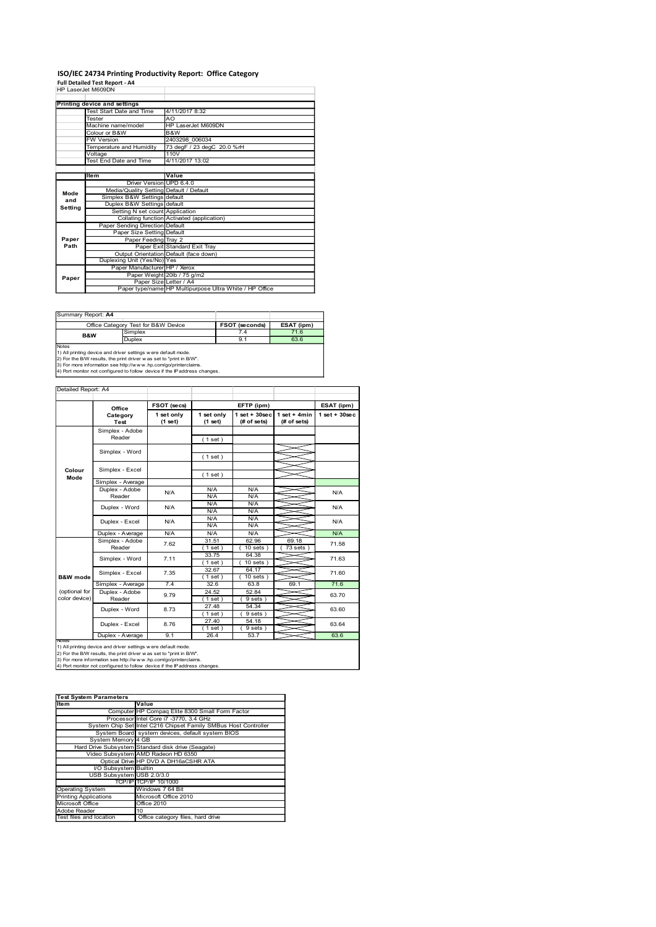# ISO/IEC 24734 Printing Productivity Report: Office Category<br>Full Detailed Test Report - A4<br>HP LaserJet M609DN

| ISO/IEC 24734 Printing Productivity Report: Office Category<br>Full Detailed Test Report - A4<br>HP LaserJet M609DN<br>Printing device and settings<br>4/11/2017 8:32<br>Test Start Date and Time<br>Tester<br>AO<br>HP LaserJet M609DN<br>Machine name/model<br>Colour or B&W<br>B&W<br>2403298 006034<br>FW Version<br>Temperature and Humidity<br>73 degF / 23 degC 20.0 %rH<br>110V<br>Voltage<br><b>Test End Date and Time</b><br>4/11/2017 13:02<br>Value<br>Item<br>Driver Version UPD 6.4.0<br>Media/Quality Setting Default / Default<br>Mode<br>Simplex B&W Settings default<br>and<br>Duplex B&W Settings default<br>Setting<br>Setting N set count Application<br>Collating function Activated (application)<br>Paper Sending Direction Default<br>Paper Size Setting Default<br>Paper<br>Paper Feeding Tray 2<br>Path<br>Paper Exit Standard Exit Tray<br>Output Orientation Default (face down)<br>Duplexing Unit (Yes/No) Yes<br>Paper Manufacturer HP / Xerox<br>Paper Weight 20lb / 75 g/m2<br>Paper<br>Paper Size Letter / A4<br>Paper type/name HP Multipurpose Ultra White / HP Office<br>Summary Report: A4<br>Office Category Test for B&W Device<br>FSOT (seconds)<br>Simplex<br>7.4<br>B&W<br>9.1<br>Duplex<br>Notes<br>1) All printing device and driver settings were default mode.<br>2) For the B/W results, the print driver was set to "print in B/W".<br>3) For more information see http://www.hp.com/go/printerclaims.<br>4) Port monitor not configured to follow device if the IP address changes.<br>Detailed Report: A4<br>FSOT (secs)<br>EFTP (ipm)<br>Office<br>1 set only<br>$1$ set + $30$ sec<br>1 set only<br>Category<br>(# of sets)<br><b>Test</b><br>(1 set)<br>(1 set)<br>Simplex - Adobe |                |                                  |
|------------------------------------------------------------------------------------------------------------------------------------------------------------------------------------------------------------------------------------------------------------------------------------------------------------------------------------------------------------------------------------------------------------------------------------------------------------------------------------------------------------------------------------------------------------------------------------------------------------------------------------------------------------------------------------------------------------------------------------------------------------------------------------------------------------------------------------------------------------------------------------------------------------------------------------------------------------------------------------------------------------------------------------------------------------------------------------------------------------------------------------------------------------------------------------------------------------------------------------------------------------------------------------------------------------------------------------------------------------------------------------------------------------------------------------------------------------------------------------------------------------------------------------------------------------------------------------------------------------------------------------------------------------------------------------------------------------------------------------------|----------------|----------------------------------|
|                                                                                                                                                                                                                                                                                                                                                                                                                                                                                                                                                                                                                                                                                                                                                                                                                                                                                                                                                                                                                                                                                                                                                                                                                                                                                                                                                                                                                                                                                                                                                                                                                                                                                                                                          |                |                                  |
|                                                                                                                                                                                                                                                                                                                                                                                                                                                                                                                                                                                                                                                                                                                                                                                                                                                                                                                                                                                                                                                                                                                                                                                                                                                                                                                                                                                                                                                                                                                                                                                                                                                                                                                                          |                |                                  |
|                                                                                                                                                                                                                                                                                                                                                                                                                                                                                                                                                                                                                                                                                                                                                                                                                                                                                                                                                                                                                                                                                                                                                                                                                                                                                                                                                                                                                                                                                                                                                                                                                                                                                                                                          |                |                                  |
|                                                                                                                                                                                                                                                                                                                                                                                                                                                                                                                                                                                                                                                                                                                                                                                                                                                                                                                                                                                                                                                                                                                                                                                                                                                                                                                                                                                                                                                                                                                                                                                                                                                                                                                                          |                |                                  |
|                                                                                                                                                                                                                                                                                                                                                                                                                                                                                                                                                                                                                                                                                                                                                                                                                                                                                                                                                                                                                                                                                                                                                                                                                                                                                                                                                                                                                                                                                                                                                                                                                                                                                                                                          |                |                                  |
|                                                                                                                                                                                                                                                                                                                                                                                                                                                                                                                                                                                                                                                                                                                                                                                                                                                                                                                                                                                                                                                                                                                                                                                                                                                                                                                                                                                                                                                                                                                                                                                                                                                                                                                                          |                |                                  |
|                                                                                                                                                                                                                                                                                                                                                                                                                                                                                                                                                                                                                                                                                                                                                                                                                                                                                                                                                                                                                                                                                                                                                                                                                                                                                                                                                                                                                                                                                                                                                                                                                                                                                                                                          |                |                                  |
|                                                                                                                                                                                                                                                                                                                                                                                                                                                                                                                                                                                                                                                                                                                                                                                                                                                                                                                                                                                                                                                                                                                                                                                                                                                                                                                                                                                                                                                                                                                                                                                                                                                                                                                                          |                |                                  |
|                                                                                                                                                                                                                                                                                                                                                                                                                                                                                                                                                                                                                                                                                                                                                                                                                                                                                                                                                                                                                                                                                                                                                                                                                                                                                                                                                                                                                                                                                                                                                                                                                                                                                                                                          |                |                                  |
|                                                                                                                                                                                                                                                                                                                                                                                                                                                                                                                                                                                                                                                                                                                                                                                                                                                                                                                                                                                                                                                                                                                                                                                                                                                                                                                                                                                                                                                                                                                                                                                                                                                                                                                                          |                |                                  |
|                                                                                                                                                                                                                                                                                                                                                                                                                                                                                                                                                                                                                                                                                                                                                                                                                                                                                                                                                                                                                                                                                                                                                                                                                                                                                                                                                                                                                                                                                                                                                                                                                                                                                                                                          |                |                                  |
|                                                                                                                                                                                                                                                                                                                                                                                                                                                                                                                                                                                                                                                                                                                                                                                                                                                                                                                                                                                                                                                                                                                                                                                                                                                                                                                                                                                                                                                                                                                                                                                                                                                                                                                                          |                |                                  |
|                                                                                                                                                                                                                                                                                                                                                                                                                                                                                                                                                                                                                                                                                                                                                                                                                                                                                                                                                                                                                                                                                                                                                                                                                                                                                                                                                                                                                                                                                                                                                                                                                                                                                                                                          |                |                                  |
|                                                                                                                                                                                                                                                                                                                                                                                                                                                                                                                                                                                                                                                                                                                                                                                                                                                                                                                                                                                                                                                                                                                                                                                                                                                                                                                                                                                                                                                                                                                                                                                                                                                                                                                                          |                |                                  |
|                                                                                                                                                                                                                                                                                                                                                                                                                                                                                                                                                                                                                                                                                                                                                                                                                                                                                                                                                                                                                                                                                                                                                                                                                                                                                                                                                                                                                                                                                                                                                                                                                                                                                                                                          |                |                                  |
|                                                                                                                                                                                                                                                                                                                                                                                                                                                                                                                                                                                                                                                                                                                                                                                                                                                                                                                                                                                                                                                                                                                                                                                                                                                                                                                                                                                                                                                                                                                                                                                                                                                                                                                                          |                |                                  |
|                                                                                                                                                                                                                                                                                                                                                                                                                                                                                                                                                                                                                                                                                                                                                                                                                                                                                                                                                                                                                                                                                                                                                                                                                                                                                                                                                                                                                                                                                                                                                                                                                                                                                                                                          |                |                                  |
|                                                                                                                                                                                                                                                                                                                                                                                                                                                                                                                                                                                                                                                                                                                                                                                                                                                                                                                                                                                                                                                                                                                                                                                                                                                                                                                                                                                                                                                                                                                                                                                                                                                                                                                                          |                |                                  |
|                                                                                                                                                                                                                                                                                                                                                                                                                                                                                                                                                                                                                                                                                                                                                                                                                                                                                                                                                                                                                                                                                                                                                                                                                                                                                                                                                                                                                                                                                                                                                                                                                                                                                                                                          |                |                                  |
|                                                                                                                                                                                                                                                                                                                                                                                                                                                                                                                                                                                                                                                                                                                                                                                                                                                                                                                                                                                                                                                                                                                                                                                                                                                                                                                                                                                                                                                                                                                                                                                                                                                                                                                                          |                |                                  |
|                                                                                                                                                                                                                                                                                                                                                                                                                                                                                                                                                                                                                                                                                                                                                                                                                                                                                                                                                                                                                                                                                                                                                                                                                                                                                                                                                                                                                                                                                                                                                                                                                                                                                                                                          |                |                                  |
|                                                                                                                                                                                                                                                                                                                                                                                                                                                                                                                                                                                                                                                                                                                                                                                                                                                                                                                                                                                                                                                                                                                                                                                                                                                                                                                                                                                                                                                                                                                                                                                                                                                                                                                                          |                |                                  |
|                                                                                                                                                                                                                                                                                                                                                                                                                                                                                                                                                                                                                                                                                                                                                                                                                                                                                                                                                                                                                                                                                                                                                                                                                                                                                                                                                                                                                                                                                                                                                                                                                                                                                                                                          |                |                                  |
|                                                                                                                                                                                                                                                                                                                                                                                                                                                                                                                                                                                                                                                                                                                                                                                                                                                                                                                                                                                                                                                                                                                                                                                                                                                                                                                                                                                                                                                                                                                                                                                                                                                                                                                                          |                |                                  |
|                                                                                                                                                                                                                                                                                                                                                                                                                                                                                                                                                                                                                                                                                                                                                                                                                                                                                                                                                                                                                                                                                                                                                                                                                                                                                                                                                                                                                                                                                                                                                                                                                                                                                                                                          |                |                                  |
|                                                                                                                                                                                                                                                                                                                                                                                                                                                                                                                                                                                                                                                                                                                                                                                                                                                                                                                                                                                                                                                                                                                                                                                                                                                                                                                                                                                                                                                                                                                                                                                                                                                                                                                                          |                |                                  |
|                                                                                                                                                                                                                                                                                                                                                                                                                                                                                                                                                                                                                                                                                                                                                                                                                                                                                                                                                                                                                                                                                                                                                                                                                                                                                                                                                                                                                                                                                                                                                                                                                                                                                                                                          |                |                                  |
|                                                                                                                                                                                                                                                                                                                                                                                                                                                                                                                                                                                                                                                                                                                                                                                                                                                                                                                                                                                                                                                                                                                                                                                                                                                                                                                                                                                                                                                                                                                                                                                                                                                                                                                                          |                |                                  |
|                                                                                                                                                                                                                                                                                                                                                                                                                                                                                                                                                                                                                                                                                                                                                                                                                                                                                                                                                                                                                                                                                                                                                                                                                                                                                                                                                                                                                                                                                                                                                                                                                                                                                                                                          |                |                                  |
|                                                                                                                                                                                                                                                                                                                                                                                                                                                                                                                                                                                                                                                                                                                                                                                                                                                                                                                                                                                                                                                                                                                                                                                                                                                                                                                                                                                                                                                                                                                                                                                                                                                                                                                                          |                |                                  |
|                                                                                                                                                                                                                                                                                                                                                                                                                                                                                                                                                                                                                                                                                                                                                                                                                                                                                                                                                                                                                                                                                                                                                                                                                                                                                                                                                                                                                                                                                                                                                                                                                                                                                                                                          |                |                                  |
|                                                                                                                                                                                                                                                                                                                                                                                                                                                                                                                                                                                                                                                                                                                                                                                                                                                                                                                                                                                                                                                                                                                                                                                                                                                                                                                                                                                                                                                                                                                                                                                                                                                                                                                                          |                |                                  |
|                                                                                                                                                                                                                                                                                                                                                                                                                                                                                                                                                                                                                                                                                                                                                                                                                                                                                                                                                                                                                                                                                                                                                                                                                                                                                                                                                                                                                                                                                                                                                                                                                                                                                                                                          | ESAT (ipm)     |                                  |
|                                                                                                                                                                                                                                                                                                                                                                                                                                                                                                                                                                                                                                                                                                                                                                                                                                                                                                                                                                                                                                                                                                                                                                                                                                                                                                                                                                                                                                                                                                                                                                                                                                                                                                                                          | 71.6<br>63.6   |                                  |
|                                                                                                                                                                                                                                                                                                                                                                                                                                                                                                                                                                                                                                                                                                                                                                                                                                                                                                                                                                                                                                                                                                                                                                                                                                                                                                                                                                                                                                                                                                                                                                                                                                                                                                                                          |                |                                  |
|                                                                                                                                                                                                                                                                                                                                                                                                                                                                                                                                                                                                                                                                                                                                                                                                                                                                                                                                                                                                                                                                                                                                                                                                                                                                                                                                                                                                                                                                                                                                                                                                                                                                                                                                          |                |                                  |
|                                                                                                                                                                                                                                                                                                                                                                                                                                                                                                                                                                                                                                                                                                                                                                                                                                                                                                                                                                                                                                                                                                                                                                                                                                                                                                                                                                                                                                                                                                                                                                                                                                                                                                                                          |                |                                  |
|                                                                                                                                                                                                                                                                                                                                                                                                                                                                                                                                                                                                                                                                                                                                                                                                                                                                                                                                                                                                                                                                                                                                                                                                                                                                                                                                                                                                                                                                                                                                                                                                                                                                                                                                          |                |                                  |
|                                                                                                                                                                                                                                                                                                                                                                                                                                                                                                                                                                                                                                                                                                                                                                                                                                                                                                                                                                                                                                                                                                                                                                                                                                                                                                                                                                                                                                                                                                                                                                                                                                                                                                                                          | 1 set + $4min$ | ESAT (ipm)<br>$1$ set + $30$ sec |
|                                                                                                                                                                                                                                                                                                                                                                                                                                                                                                                                                                                                                                                                                                                                                                                                                                                                                                                                                                                                                                                                                                                                                                                                                                                                                                                                                                                                                                                                                                                                                                                                                                                                                                                                          | (# of sets)    |                                  |
| Reader<br>(1 set)                                                                                                                                                                                                                                                                                                                                                                                                                                                                                                                                                                                                                                                                                                                                                                                                                                                                                                                                                                                                                                                                                                                                                                                                                                                                                                                                                                                                                                                                                                                                                                                                                                                                                                                        |                |                                  |
| Simplex - Word<br>(1 set)                                                                                                                                                                                                                                                                                                                                                                                                                                                                                                                                                                                                                                                                                                                                                                                                                                                                                                                                                                                                                                                                                                                                                                                                                                                                                                                                                                                                                                                                                                                                                                                                                                                                                                                |                |                                  |
| Simplex - Excel<br>Colour<br>$(1$ set)                                                                                                                                                                                                                                                                                                                                                                                                                                                                                                                                                                                                                                                                                                                                                                                                                                                                                                                                                                                                                                                                                                                                                                                                                                                                                                                                                                                                                                                                                                                                                                                                                                                                                                   |                |                                  |

| Summary Report: A4 |                                                                                                                                                                                                                                                                                                             |                       |            |
|--------------------|-------------------------------------------------------------------------------------------------------------------------------------------------------------------------------------------------------------------------------------------------------------------------------------------------------------|-----------------------|------------|
|                    | Office Category Test for B&W Device                                                                                                                                                                                                                                                                         | <b>FSOT (seconds)</b> | ESAT (ipm) |
| <b>B&amp;W</b>     | Simplex                                                                                                                                                                                                                                                                                                     |                       | 71.6       |
|                    | Duplex                                                                                                                                                                                                                                                                                                      | 9.1                   | 63.6       |
| <b>Notes</b>       |                                                                                                                                                                                                                                                                                                             |                       |            |
|                    | 1) All printing device and driver settings were default mode.                                                                                                                                                                                                                                               |                       |            |
|                    | $\alpha_1$ and $\alpha_2$ and $\alpha_3$ and $\alpha_4$ and $\alpha_5$ and $\alpha_6$ and $\alpha_7$ and $\alpha_8$ and $\alpha_9$ and $\alpha_9$ and $\alpha_8$ and $\alpha_9$ and $\alpha_9$ and $\alpha_9$ and $\alpha_9$ and $\alpha_9$ and $\alpha_9$ and $\alpha_9$ and $\alpha_9$ and $\alpha_9$ and |                       |            |

#### Detailed Report: A4

| and<br>Setting                                                                                                                        |                                                                                                                                                                                                                      |                       |                                                                         |                                 |                                                                 |                                |  |
|---------------------------------------------------------------------------------------------------------------------------------------|----------------------------------------------------------------------------------------------------------------------------------------------------------------------------------------------------------------------|-----------------------|-------------------------------------------------------------------------|---------------------------------|-----------------------------------------------------------------|--------------------------------|--|
|                                                                                                                                       |                                                                                                                                                                                                                      |                       | Duplex B&W Settings default<br>Setting N set count Application          |                                 |                                                                 |                                |  |
|                                                                                                                                       |                                                                                                                                                                                                                      |                       | Collating function Activated (application)                              |                                 |                                                                 |                                |  |
|                                                                                                                                       | Paper Sending Direction Default                                                                                                                                                                                      |                       | Paper Size Setting Default                                              |                                 |                                                                 |                                |  |
| Paper                                                                                                                                 |                                                                                                                                                                                                                      |                       | Paper Feeding Tray 2                                                    |                                 |                                                                 |                                |  |
| Path                                                                                                                                  |                                                                                                                                                                                                                      |                       | Paper Exit Standard Exit Tray<br>Output Orientation Default (face down) |                                 |                                                                 |                                |  |
|                                                                                                                                       | Duplexing Unit (Yes/No) Yes                                                                                                                                                                                          |                       |                                                                         |                                 |                                                                 |                                |  |
|                                                                                                                                       |                                                                                                                                                                                                                      |                       | Paper Manufacturer HP / Xerox<br>Paper Weight 20lb / 75 g/m2            |                                 |                                                                 |                                |  |
| Paper                                                                                                                                 |                                                                                                                                                                                                                      |                       | Paper Size Letter / A4                                                  |                                 |                                                                 |                                |  |
|                                                                                                                                       |                                                                                                                                                                                                                      |                       |                                                                         |                                 | Paper type/name HP Multipurpose Ultra White / HP Office         |                                |  |
|                                                                                                                                       |                                                                                                                                                                                                                      |                       |                                                                         |                                 |                                                                 |                                |  |
| Summary Report: A4                                                                                                                    |                                                                                                                                                                                                                      |                       |                                                                         |                                 |                                                                 |                                |  |
|                                                                                                                                       | Office Category Test for B&W Device                                                                                                                                                                                  | Simplex               |                                                                         |                                 | <b>FSOT (seconds)</b><br>7.4                                    | ESAT (ipm)<br>71.6             |  |
| B&W                                                                                                                                   |                                                                                                                                                                                                                      | Duplex                |                                                                         |                                 | 9.1                                                             | 63.6                           |  |
| Notes<br>1) All printing device and driver settings were default mode.                                                                |                                                                                                                                                                                                                      |                       |                                                                         |                                 |                                                                 |                                |  |
|                                                                                                                                       | 2) For the B/W results, the print driver was set to "print in B/W".<br>3) For more information see http://www.hp.com/go/printerclaims.<br>4) Port monitor not configured to follow device if the IP address changes. |                       |                                                                         |                                 |                                                                 |                                |  |
|                                                                                                                                       |                                                                                                                                                                                                                      |                       |                                                                         |                                 |                                                                 |                                |  |
| Detailed Report: A4                                                                                                                   |                                                                                                                                                                                                                      |                       |                                                                         |                                 |                                                                 |                                |  |
|                                                                                                                                       | Office                                                                                                                                                                                                               |                       | FSOT (secs)                                                             |                                 | EFTP (ipm)                                                      |                                |  |
|                                                                                                                                       | Category<br><b>Test</b>                                                                                                                                                                                              |                       | 1 set only<br>(1 set)                                                   | 1 set only<br>(1 set)           | $set + 30 sec$<br>(# of sets)                                   | $1 set + 4 min$<br>(# of sets) |  |
|                                                                                                                                       | Simplex - Adobe<br>Reader                                                                                                                                                                                            |                       |                                                                         | (1 set)                         |                                                                 |                                |  |
|                                                                                                                                       | Simplex - Word                                                                                                                                                                                                       |                       |                                                                         |                                 |                                                                 |                                |  |
|                                                                                                                                       |                                                                                                                                                                                                                      |                       |                                                                         | (1 set)                         |                                                                 |                                |  |
| Colour<br>Mode                                                                                                                        | Simplex - Excel                                                                                                                                                                                                      |                       |                                                                         | (1 set)                         |                                                                 |                                |  |
|                                                                                                                                       | Simplex - Average<br>Duplex - Adobe                                                                                                                                                                                  |                       |                                                                         | N/A                             | N/A                                                             |                                |  |
|                                                                                                                                       | Reader                                                                                                                                                                                                               |                       | N/A                                                                     | N/A                             | N/A                                                             |                                |  |
|                                                                                                                                       | Duplex - Word                                                                                                                                                                                                        |                       | N/A                                                                     | N/A<br>N/A                      | N/A<br>N/A                                                      |                                |  |
|                                                                                                                                       | Duplex - Excel                                                                                                                                                                                                       |                       | N/A                                                                     | N/A<br>N/A                      | N/A<br>N/A                                                      |                                |  |
|                                                                                                                                       | Duplex - Average                                                                                                                                                                                                     |                       | N/A                                                                     | N/A                             | N/A                                                             |                                |  |
|                                                                                                                                       | Simplex - Adobe<br>Reader                                                                                                                                                                                            |                       | 7.62                                                                    | 31.51<br>$\overline{1}$ set $)$ | 62.96<br>$\overline{10}$ sets                                   | 69.18<br>73 sets               |  |
|                                                                                                                                       | Simplex - Word                                                                                                                                                                                                       |                       | 7.11                                                                    | 33.75<br>(1 set )               | 64.38<br>$10$ sets $)$                                          |                                |  |
|                                                                                                                                       | Simplex - Excel                                                                                                                                                                                                      |                       | 7.35                                                                    | 32.67                           | 64.17                                                           |                                |  |
| <b>B&amp;W</b> mode                                                                                                                   | Simplex - Average                                                                                                                                                                                                    |                       | 7.4                                                                     | (1 set<br>32.6                  | 10 sets<br>63.8                                                 | 69.1                           |  |
| (optional for                                                                                                                         | Duplex - Adobe                                                                                                                                                                                                       |                       | 9.79                                                                    | 24.52                           | 52.84                                                           |                                |  |
| color device)                                                                                                                         | Reader                                                                                                                                                                                                               |                       |                                                                         | (1 set)<br>27.48                | 9 sets<br>54.34                                                 |                                |  |
|                                                                                                                                       | Duplex - Word                                                                                                                                                                                                        |                       | 8.73                                                                    | (1 set)                         | $\overline{()}$ sets $)$                                        |                                |  |
|                                                                                                                                       | Duplex - Excel                                                                                                                                                                                                       |                       | 8.76                                                                    | 27.40<br>(1 set)                | 54.18<br>9 sets)                                                |                                |  |
| <b>Notes</b>                                                                                                                          | Duplex - Average                                                                                                                                                                                                     |                       | 9.1                                                                     | 26.4                            | 53.7                                                            |                                |  |
| 1) All printing device and driver settings w ere default mode.<br>2) For the B/W results, the print driver was set to "print in B/W". |                                                                                                                                                                                                                      |                       |                                                                         |                                 |                                                                 |                                |  |
| 3) For more information see http://www.hp.com/go/printerclaims.                                                                       |                                                                                                                                                                                                                      |                       |                                                                         |                                 |                                                                 |                                |  |
| 4) Port monitor not configured to follow device if the IP address changes.                                                            |                                                                                                                                                                                                                      |                       |                                                                         |                                 |                                                                 |                                |  |
|                                                                                                                                       |                                                                                                                                                                                                                      |                       |                                                                         |                                 |                                                                 |                                |  |
| <b>Test System Parameters</b>                                                                                                         |                                                                                                                                                                                                                      |                       |                                                                         |                                 |                                                                 |                                |  |
| Item                                                                                                                                  |                                                                                                                                                                                                                      | Value                 | Computer HP Compaq Elite 8300 Small Form Factor                         |                                 |                                                                 |                                |  |
|                                                                                                                                       |                                                                                                                                                                                                                      |                       | Processor Intel Core i7 -3770, 3.4 GHz                                  |                                 |                                                                 |                                |  |
|                                                                                                                                       |                                                                                                                                                                                                                      |                       | System Board system devices, default system BIOS                        |                                 | System Chip Set Intel C216 Chipset Family SMBus Host Controller |                                |  |
|                                                                                                                                       | System Memory 4 GB                                                                                                                                                                                                   |                       |                                                                         |                                 |                                                                 |                                |  |
|                                                                                                                                       | Hard Drive Subsystem Standard disk drive (Seagate)<br>Video Subsystem AMD Radeon HD 6350                                                                                                                             |                       |                                                                         |                                 |                                                                 |                                |  |
|                                                                                                                                       |                                                                                                                                                                                                                      |                       | Optical Drive HP DVD A DH16aCSHR ATA                                    |                                 |                                                                 |                                |  |
|                                                                                                                                       | USB Subsystem USB 2.0/3.0                                                                                                                                                                                            |                       |                                                                         |                                 |                                                                 |                                |  |
|                                                                                                                                       |                                                                                                                                                                                                                      | TCP/IP TCP/IP 10/1000 |                                                                         |                                 |                                                                 |                                |  |
|                                                                                                                                       |                                                                                                                                                                                                                      |                       | Microsoft Office 2010                                                   |                                 |                                                                 |                                |  |
| Operating System<br>Printing Applications                                                                                             |                                                                                                                                                                                                                      | Office 2010<br>10     |                                                                         |                                 |                                                                 |                                |  |
| Microsoft Office<br>Adobe Reader                                                                                                      |                                                                                                                                                                                                                      |                       | Office category files, hard drive                                       |                                 |                                                                 |                                |  |
|                                                                                                                                       | I/O Subsystem Builtin                                                                                                                                                                                                |                       | Windows 7 64 Bit                                                        |                                 |                                                                 |                                |  |

| <b>Test System Parameters</b> |                                                                 |  |  |  |  |
|-------------------------------|-----------------------------------------------------------------|--|--|--|--|
| <b>Item</b>                   | Value                                                           |  |  |  |  |
|                               | Computer HP Compag Elite 8300 Small Form Factor                 |  |  |  |  |
|                               | Processor Intel Core i7 -3770, 3.4 GHz                          |  |  |  |  |
|                               | System Chip Set Intel C216 Chipset Family SMBus Host Controller |  |  |  |  |
|                               | System Board system devices, default system BIOS                |  |  |  |  |
| System Memory 4 GB            |                                                                 |  |  |  |  |
|                               | Hard Drive Subsystem Standard disk drive (Seagate)              |  |  |  |  |
|                               | Video Subsystem AMD Radeon HD 6350                              |  |  |  |  |
|                               | Optical Drive HP DVD A DH16aCSHR ATA                            |  |  |  |  |
| I/O Subsystem Builtin         |                                                                 |  |  |  |  |
| USB Subsystem USB 2.0/3.0     |                                                                 |  |  |  |  |
|                               | TCP/IP TCP/IP 10/1000                                           |  |  |  |  |
| <b>Operating System</b>       | Windows 7 64 Bit                                                |  |  |  |  |
| Printing Applications         | Microsoft Office 2010                                           |  |  |  |  |
| Microsoft Office              | Office 2010                                                     |  |  |  |  |
| Adobe Reader                  | 10                                                              |  |  |  |  |
| Test files and location       | Office category files, hard drive                               |  |  |  |  |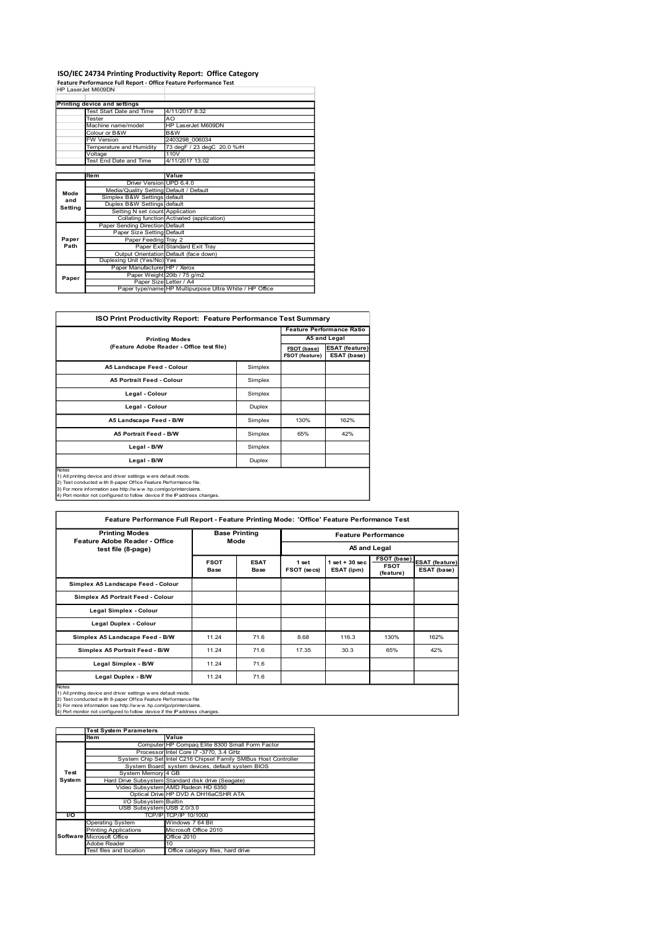## ISO/IEC 24734 Printing Productivity Report: Office Category<br>Feature Performance Full Report - Office Feature Performance Test<br>HP LaserJet M609DN

|         | Feature Performance Full Report - Office Feature Performance Test | ISO/IEC 24734 Printing Productivity Report: Office Category        |                                  |
|---------|-------------------------------------------------------------------|--------------------------------------------------------------------|----------------------------------|
|         | HP LaserJet M609DN                                                |                                                                    |                                  |
|         | <b>Printing device and settings</b>                               |                                                                    |                                  |
|         | Fest Start Date and Time<br>Tester                                | 4/11/2017 8:32<br>AO                                               |                                  |
|         | Machine name/model                                                |                                                                    |                                  |
|         |                                                                   | HP LaserJet M609DN                                                 |                                  |
|         | Colour or B&W                                                     | B&W                                                                |                                  |
|         | W Version<br>Temperature and Humidity                             | 2403298 006034<br>73 degF / 23 degC 20.0 %rH                       |                                  |
|         | √oltage<br>Test End Date and Time                                 | 110V<br>4/11/2017 13:02                                            |                                  |
|         |                                                                   |                                                                    |                                  |
|         | Item<br>Driver Version UPD 6.4.0                                  | Value                                                              |                                  |
| Mode    | Media/Quality Setting Default / Default                           |                                                                    |                                  |
| and     | Simplex B&W Settings default<br>Duplex B&W Settings default       |                                                                    |                                  |
| Setting | Setting N set count Application                                   |                                                                    |                                  |
|         | Paper Sending Direction Default                                   | Collating function Activated (application)                         |                                  |
| Paper   | Paper Size Setting Default                                        |                                                                    |                                  |
| Path    | Paper Feeding Tray 2                                              | Paper Exit Standard Exit Tray                                      |                                  |
|         |                                                                   | Output Orientation Default (face down)                             |                                  |
|         | Duplexing Unit (Yes/No) Yes<br>Paper Manufacturer HP / Xerox      |                                                                    |                                  |
| Paper   |                                                                   | Paper Weight 20lb / 75 g/m2                                        |                                  |
|         | Paper Size Letter / A4                                            | Paper type/name HP Multipurpose Ultra White / HP Office            |                                  |
|         |                                                                   |                                                                    |                                  |
|         |                                                                   | ISO Print Productivity Report: Feature Performance Test Summary    |                                  |
|         |                                                                   |                                                                    | <b>Feature Performance Ratio</b> |
|         |                                                                   | <b>Printing Modes</b><br>(Feature Adobe Reader - Office test file) | A5 and Legal                     |

|                                           | Colour or B&W                                                                                                                                                                                                                                                                      | B&W                                        |                      |                |                |                                  |             |                       |
|-------------------------------------------|------------------------------------------------------------------------------------------------------------------------------------------------------------------------------------------------------------------------------------------------------------------------------------|--------------------------------------------|----------------------|----------------|----------------|----------------------------------|-------------|-----------------------|
|                                           | W Version                                                                                                                                                                                                                                                                          | 2403298 006034                             |                      |                |                |                                  |             |                       |
|                                           | Femperature and Humidity                                                                                                                                                                                                                                                           | 73 degF / 23 degC 20.0 %rH                 |                      |                |                |                                  |             |                       |
|                                           | /oltage                                                                                                                                                                                                                                                                            | 110V                                       |                      |                |                |                                  |             |                       |
|                                           | <b>Fest End Date and Time</b>                                                                                                                                                                                                                                                      | 4/11/2017 13:02                            |                      |                |                |                                  |             |                       |
|                                           |                                                                                                                                                                                                                                                                                    |                                            |                      |                |                |                                  |             |                       |
|                                           | Item                                                                                                                                                                                                                                                                               | Value                                      |                      |                |                |                                  |             |                       |
|                                           | Driver Version UPD 6.4.0                                                                                                                                                                                                                                                           |                                            |                      |                |                |                                  |             |                       |
| Mode                                      | Media/Quality Setting                                                                                                                                                                                                                                                              | Default / Default                          |                      |                |                |                                  |             |                       |
| and                                       | Simplex B&W Settings default                                                                                                                                                                                                                                                       |                                            |                      |                |                |                                  |             |                       |
| Setting                                   | Duplex B&W Settings default                                                                                                                                                                                                                                                        |                                            |                      |                |                |                                  |             |                       |
|                                           | Setting N set count Application                                                                                                                                                                                                                                                    | Collating function Activated (application) |                      |                |                |                                  |             |                       |
|                                           |                                                                                                                                                                                                                                                                                    |                                            |                      |                |                |                                  |             |                       |
|                                           | Paper Sending Direction Default                                                                                                                                                                                                                                                    |                                            |                      |                |                |                                  |             |                       |
|                                           | Paper Size Setting Default                                                                                                                                                                                                                                                         |                                            |                      |                |                |                                  |             |                       |
| Paper                                     | Paper Feeding Tray 2                                                                                                                                                                                                                                                               |                                            |                      |                |                |                                  |             |                       |
| Path                                      | Paper Exit Standard Exit Tray                                                                                                                                                                                                                                                      |                                            |                      |                |                |                                  |             |                       |
|                                           | Output Orientation Default (face down)<br>Duplexing Unit (Yes/No) Yes                                                                                                                                                                                                              |                                            |                      |                |                |                                  |             |                       |
|                                           |                                                                                                                                                                                                                                                                                    | Paper Manufacturer HP / Xerox              |                      |                |                |                                  |             |                       |
|                                           | Paper Weight 20lb / 75 g/m2                                                                                                                                                                                                                                                        |                                            |                      |                |                |                                  |             |                       |
| Paper                                     | Paper Size Letter / A4                                                                                                                                                                                                                                                             |                                            |                      |                |                |                                  |             |                       |
|                                           | Paper type/name HP Multipurpose Ultra White / HP Office                                                                                                                                                                                                                            |                                            |                      |                |                |                                  |             |                       |
|                                           |                                                                                                                                                                                                                                                                                    |                                            |                      |                |                |                                  |             |                       |
|                                           | ISO Print Productivity Report: Feature Performance Test Summary                                                                                                                                                                                                                    |                                            |                      |                |                |                                  |             |                       |
|                                           |                                                                                                                                                                                                                                                                                    |                                            |                      |                |                | <b>Feature Performance Ratio</b> |             |                       |
|                                           | <b>Printing Modes</b>                                                                                                                                                                                                                                                              |                                            |                      |                | A5 and Legal   |                                  |             |                       |
|                                           |                                                                                                                                                                                                                                                                                    |                                            |                      |                |                |                                  |             |                       |
| (Feature Adobe Reader - Office test file) |                                                                                                                                                                                                                                                                                    |                                            | FSOT (base)          | ESAT (feature) |                |                                  |             |                       |
|                                           |                                                                                                                                                                                                                                                                                    |                                            |                      |                | FSOT (feature) | ESAT (base)                      |             |                       |
|                                           | A5 Landscape Feed - Colour                                                                                                                                                                                                                                                         |                                            |                      | Simplex        |                |                                  |             |                       |
|                                           | A5 Portrait Feed - Colour<br>Simplex                                                                                                                                                                                                                                               |                                            |                      |                |                |                                  |             |                       |
|                                           | Legal - Colour                                                                                                                                                                                                                                                                     |                                            |                      | Simplex        |                |                                  |             |                       |
|                                           | Legal - Colour                                                                                                                                                                                                                                                                     |                                            |                      | Duplex         |                |                                  |             |                       |
|                                           | A5 Landscape Feed - B/W                                                                                                                                                                                                                                                            |                                            |                      | Simplex        | 130%           | 162%                             |             |                       |
|                                           | A5 Portrait Feed - B/W                                                                                                                                                                                                                                                             |                                            |                      | Simplex        | 65%            | 42%                              |             |                       |
|                                           | Legal - B/W                                                                                                                                                                                                                                                                        |                                            |                      | Simplex        |                |                                  |             |                       |
|                                           |                                                                                                                                                                                                                                                                                    |                                            |                      |                |                |                                  |             |                       |
|                                           | Legal - B/W                                                                                                                                                                                                                                                                        |                                            |                      | Duplex         |                |                                  |             |                       |
| Notes                                     | 1) All printing device and driver settings w ere default mode.<br>2) Test conducted with 8-paper Office Feature Performance file.<br>3) For more information see http://www.hp.com/go/printerclaims.<br>4) Port monitor not configured to follow device if the IP address changes. |                                            |                      |                |                |                                  |             |                       |
|                                           | Feature Performance Full Report - Feature Printing Mode: 'Office' Feature Performance Test                                                                                                                                                                                         |                                            |                      |                |                |                                  |             |                       |
|                                           | <b>Printing Modes</b>                                                                                                                                                                                                                                                              |                                            | <b>Base Printing</b> |                |                | <b>Feature Performance</b>       |             |                       |
|                                           | Feature Adobe Reader - Office<br>test file (8-page)                                                                                                                                                                                                                                |                                            | Mode                 |                |                | A5 and Legal                     |             |                       |
|                                           |                                                                                                                                                                                                                                                                                    |                                            |                      |                |                |                                  |             |                       |
|                                           |                                                                                                                                                                                                                                                                                    |                                            | <b>FSOT</b>          | <b>ESAT</b>    | 1 set          | $1$ set + $30$ sec               | FSOT (base) | <b>ESAT (feature)</b> |

|            | If earnie House Reader - Office test file)                                                                                                                                                                                                                                                                                                                                       |                                                                                           |                            | FSOT (feature)       | <b>FSOT (base) ESAT (feature)</b><br>ESAT (base) |                            |                                                      |  |
|------------|----------------------------------------------------------------------------------------------------------------------------------------------------------------------------------------------------------------------------------------------------------------------------------------------------------------------------------------------------------------------------------|-------------------------------------------------------------------------------------------|----------------------------|----------------------|--------------------------------------------------|----------------------------|------------------------------------------------------|--|
|            | A5 Landscape Feed - Colour                                                                                                                                                                                                                                                                                                                                                       |                                                                                           | Simplex                    |                      |                                                  |                            |                                                      |  |
|            | A5 Portrait Feed - Colour                                                                                                                                                                                                                                                                                                                                                        |                                                                                           | Simplex                    |                      |                                                  |                            |                                                      |  |
|            | Legal - Colour                                                                                                                                                                                                                                                                                                                                                                   |                                                                                           | Simplex                    |                      |                                                  |                            |                                                      |  |
|            | Legal - Colour                                                                                                                                                                                                                                                                                                                                                                   |                                                                                           | Duplex                     |                      |                                                  |                            |                                                      |  |
|            | A5 Landscape Feed - B/W                                                                                                                                                                                                                                                                                                                                                          |                                                                                           | Simplex                    | 130%                 | 162%                                             |                            |                                                      |  |
|            | A5 Portrait Feed - B/W                                                                                                                                                                                                                                                                                                                                                           |                                                                                           |                            | Simplex<br>65%       | 42%                                              |                            |                                                      |  |
|            | Legal - B/W                                                                                                                                                                                                                                                                                                                                                                      |                                                                                           | Simplex                    |                      |                                                  |                            |                                                      |  |
|            | Legal - B/W                                                                                                                                                                                                                                                                                                                                                                      |                                                                                           | Duplex                     |                      |                                                  |                            |                                                      |  |
| Notes      | 1) All printing device and driver settings w ere default mode.<br>2) Test conducted with 8-paper Office Feature Performance file.<br>3) For more information see http://www.hp.com/go/printerclaims.<br>4) Port monitor not configured to follow device if the IP address changes.<br>Feature Performance Full Report - Feature Printing Mode: 'Office' Feature Performance Test |                                                                                           |                            |                      |                                                  |                            |                                                      |  |
|            | <b>Printing Modes</b>                                                                                                                                                                                                                                                                                                                                                            |                                                                                           | <b>Base Printing</b>       |                      |                                                  | <b>Feature Performance</b> |                                                      |  |
|            | Feature Adobe Reader - Office                                                                                                                                                                                                                                                                                                                                                    | Mode                                                                                      |                            |                      |                                                  |                            |                                                      |  |
|            | test file (8-page)                                                                                                                                                                                                                                                                                                                                                               |                                                                                           |                            |                      |                                                  |                            | A5 and Legal<br>FSOT (base)<br><b>ESAT</b> (feature) |  |
|            |                                                                                                                                                                                                                                                                                                                                                                                  | <b>FSOT</b><br><b>Base</b>                                                                | <b>ESAT</b><br><b>Base</b> | 1 set<br>FSOT (secs) | $1$ set + $30$ sec<br>ESAT (ipm)                 |                            | <b>FSOT</b><br>(feature)                             |  |
|            | Simplex A5 Landscape Feed - Colour                                                                                                                                                                                                                                                                                                                                               |                                                                                           |                            |                      |                                                  |                            |                                                      |  |
|            | Simplex A5 Portrait Feed - Colour                                                                                                                                                                                                                                                                                                                                                |                                                                                           |                            |                      |                                                  |                            |                                                      |  |
|            | <b>Legal Simplex - Colour</b>                                                                                                                                                                                                                                                                                                                                                    |                                                                                           |                            |                      |                                                  |                            |                                                      |  |
|            | <b>Legal Duplex - Colour</b>                                                                                                                                                                                                                                                                                                                                                     |                                                                                           |                            |                      |                                                  |                            |                                                      |  |
|            | Simplex A5 Landscape Feed - B/W                                                                                                                                                                                                                                                                                                                                                  |                                                                                           | 11.24<br>71.6              | 8.68                 | 116.3                                            |                            | 130%                                                 |  |
|            | Simplex A5 Portrait Feed - B/W                                                                                                                                                                                                                                                                                                                                                   |                                                                                           | 11.24<br>71.6              | 17.35                | 30.3                                             |                            | 65%                                                  |  |
|            | Legal Simplex - B/W                                                                                                                                                                                                                                                                                                                                                              |                                                                                           | 71.6<br>11.24              |                      |                                                  |                            |                                                      |  |
|            | Legal Duplex - B/W                                                                                                                                                                                                                                                                                                                                                               | 11.24                                                                                     | 71.6                       |                      |                                                  |                            |                                                      |  |
| Notes      | 1) All printing device and driver settings were default mode.<br>2) Test conducted with 8-paper Office Feature Performance file<br>3) For more information see http://www.hp.com/go/printerclaims.<br>4) Port monitor not configured to follow device if the IP address changes.                                                                                                 |                                                                                           |                            |                      |                                                  |                            |                                                      |  |
|            | <b>Test System Parameters</b><br>Item                                                                                                                                                                                                                                                                                                                                            | Value                                                                                     |                            |                      |                                                  |                            |                                                      |  |
|            |                                                                                                                                                                                                                                                                                                                                                                                  | Computer HP Compaq Elite 8300 Small Form Factor<br>Processor Intel Core i7 -3770, 3.4 GHz |                            |                      |                                                  |                            |                                                      |  |
|            | System Chip Set Intel C216 Chipset Family SMBus Host Controller                                                                                                                                                                                                                                                                                                                  | System Board system devices, default system BIOS                                          |                            |                      |                                                  |                            |                                                      |  |
| Test       | System Memory 4 GB                                                                                                                                                                                                                                                                                                                                                               |                                                                                           |                            |                      |                                                  |                            |                                                      |  |
| System     | Hard Drive Subsystem Standard disk drive (Seagate)<br>Video Subsystem AMD Radeon HD 6350                                                                                                                                                                                                                                                                                         |                                                                                           |                            |                      |                                                  |                            |                                                      |  |
|            |                                                                                                                                                                                                                                                                                                                                                                                  | Optical Drive HP DVD A DH16aCSHR ATA                                                      |                            |                      |                                                  |                            |                                                      |  |
|            |                                                                                                                                                                                                                                                                                                                                                                                  |                                                                                           |                            |                      |                                                  |                            |                                                      |  |
|            | I/O Subsystem Builtin<br>USB Subsystem USB 2.0/3.0                                                                                                                                                                                                                                                                                                                               |                                                                                           |                            |                      |                                                  |                            |                                                      |  |
| <b>1/O</b> | Operating System                                                                                                                                                                                                                                                                                                                                                                 | TCP/IP TCP/IP 10/1000<br>Windows 7 64 Bit                                                 |                            |                      |                                                  |                            |                                                      |  |
|            | Printing Applications<br>Software Microsoft Office<br>Adobe Reader                                                                                                                                                                                                                                                                                                               | Microsoft Office 2010<br>Office 2010<br>10                                                |                            |                      |                                                  |                            |                                                      |  |

|                  | <b>Test System Parameters</b> |                                                                 |  |  |  |
|------------------|-------------------------------|-----------------------------------------------------------------|--|--|--|
|                  | ltem                          | Value                                                           |  |  |  |
|                  |                               | Computer HP Compaq Elite 8300 Small Form Factor                 |  |  |  |
|                  |                               | Processor Intel Core i7 -3770, 3.4 GHz                          |  |  |  |
|                  |                               | System Chip Set Intel C216 Chipset Family SMBus Host Controller |  |  |  |
|                  |                               | System Board system devices, default system BIOS                |  |  |  |
| Test             | System Memory 4 GB            |                                                                 |  |  |  |
| System           |                               | Hard Drive Subsystem Standard disk drive (Seagate)              |  |  |  |
|                  |                               | Video Subsystem AMD Radeon HD 6350                              |  |  |  |
|                  |                               | Optical Drive HP DVD A DH16aCSHR ATA                            |  |  |  |
|                  | I/O Subsystem Builtin         |                                                                 |  |  |  |
|                  | USB Subsystem USB 2.0/3.0     |                                                                 |  |  |  |
| $\overline{1/O}$ |                               | TCP/IP TCP/IP 10/1000                                           |  |  |  |
|                  | <b>Operating System</b>       | Windows 7 64 Bit                                                |  |  |  |
|                  | <b>Printing Applications</b>  | Microsoft Office 2010                                           |  |  |  |
|                  | Software Microsoft Office     | Office 2010                                                     |  |  |  |
|                  | Adobe Reader                  | 10                                                              |  |  |  |
|                  | Test files and Incation       | Office category files hard drive                                |  |  |  |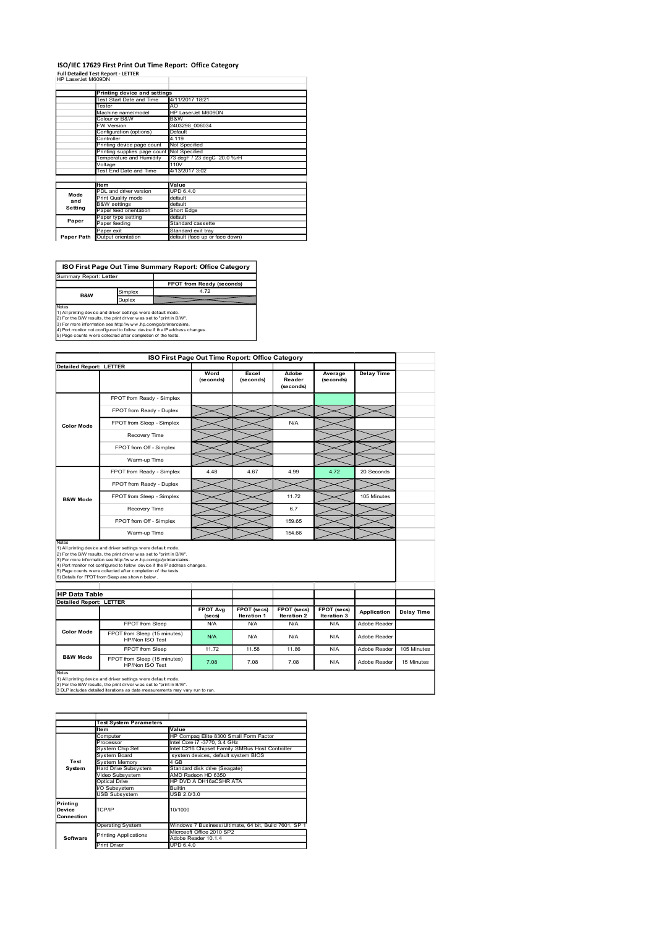### ISO/IEC 17629 First Print Out Time Report: Office Category<br>Full Detailed Test Report - LETTER<br>HP LaserJet M609DN

|                                | ISO/IEC 17629 First Print Out Time Report: Office Category                                                                                                                                                                           |                           |                                |                                |                                                 |                              |                       |                   |  |
|--------------------------------|--------------------------------------------------------------------------------------------------------------------------------------------------------------------------------------------------------------------------------------|---------------------------|--------------------------------|--------------------------------|-------------------------------------------------|------------------------------|-----------------------|-------------------|--|
| HP LaserJet M609DN             | <b>Full Detailed Test Report - LETTER</b>                                                                                                                                                                                            |                           |                                |                                |                                                 |                              |                       |                   |  |
|                                | Printing device and settings<br>Test Start Date and Time                                                                                                                                                                             | 4/11/2017 18:21           |                                |                                |                                                 |                              |                       |                   |  |
|                                | Tester<br>Machine name/model                                                                                                                                                                                                         |                           | AO<br>HP LaserJet M609DN       |                                |                                                 |                              |                       |                   |  |
|                                | Colour or B&W<br>W Version                                                                                                                                                                                                           |                           | B&W<br>2403298_006034          |                                |                                                 |                              |                       |                   |  |
|                                | Configuration (options)<br>Controller                                                                                                                                                                                                |                           | Default<br>4.119               |                                |                                                 |                              |                       |                   |  |
|                                | Printing device page count                                                                                                                                                                                                           |                           | Not Specified<br>Not Specified |                                |                                                 |                              |                       |                   |  |
|                                | Printing supplies page count<br>Temperature and Humidity<br>Voltage                                                                                                                                                                  |                           | 110V                           | 73 degF / 23 degC 20.0 %rH     |                                                 |                              |                       |                   |  |
|                                | Test End Date and Time                                                                                                                                                                                                               | 4/13/2017 3:02            |                                |                                |                                                 |                              |                       |                   |  |
|                                | Item<br>PDL and driver version                                                                                                                                                                                                       | Value<br><b>UPD 6.4.0</b> |                                |                                |                                                 |                              |                       |                   |  |
| Mode<br>and                    | Print Quality mode                                                                                                                                                                                                                   |                           | default<br>default             |                                |                                                 |                              |                       |                   |  |
| Setting                        | <b>B&amp;W</b> settings<br>Paper feed orientation                                                                                                                                                                                    |                           | Short Edge                     |                                |                                                 |                              |                       |                   |  |
| Paper                          | Paper type setting<br>Paper feeding                                                                                                                                                                                                  |                           | default<br>Standard cassette   |                                |                                                 |                              |                       |                   |  |
|                                | Paper exit<br>Paper Path Output orientation                                                                                                                                                                                          |                           | Standard exit tray             | default (face up or face down) |                                                 |                              |                       |                   |  |
|                                |                                                                                                                                                                                                                                      |                           |                                |                                |                                                 |                              |                       |                   |  |
|                                |                                                                                                                                                                                                                                      |                           |                                |                                |                                                 |                              |                       |                   |  |
|                                | ISO First Page Out Time Summary Report: Office Category                                                                                                                                                                              |                           |                                |                                |                                                 |                              |                       |                   |  |
| Summary Report: Letter         |                                                                                                                                                                                                                                      |                           |                                | FPOT from Ready (seconds)      |                                                 |                              |                       |                   |  |
| <b>B&amp;W</b>                 | Simplex                                                                                                                                                                                                                              |                           |                                | 4.72                           |                                                 |                              |                       |                   |  |
|                                | Duplex                                                                                                                                                                                                                               |                           |                                |                                |                                                 |                              |                       |                   |  |
|                                | Notes<br>1) All printing device and driver settings were default mode.                                                                                                                                                               |                           |                                |                                |                                                 |                              |                       |                   |  |
|                                | 17 Au phrama device and unter setuate were setuated to the BW.<br>2) For the BW results, the print driver was set to "print in BW".<br>3) For the BW results, the print driver was set to "print in BW".<br>4) Port monitor not conf |                           |                                |                                |                                                 |                              |                       |                   |  |
|                                |                                                                                                                                                                                                                                      |                           |                                |                                |                                                 |                              |                       |                   |  |
| <b>Detailed Report: LETTER</b> |                                                                                                                                                                                                                                      |                           |                                |                                | ISO First Page Out Time Report: Office Category |                              |                       |                   |  |
|                                |                                                                                                                                                                                                                                      |                           |                                | Word<br>(seconds)              | Excel<br>(seconds)                              | Adobe<br>Reader<br>(seconds) | Average<br>(se conds) | <b>Delay Time</b> |  |

|                                | oriliguration (options)<br>Controller                                                                                                                | ciauit<br>4.119                    |                               |                                                                                        |             |             |                   |                   |
|--------------------------------|------------------------------------------------------------------------------------------------------------------------------------------------------|------------------------------------|-------------------------------|----------------------------------------------------------------------------------------|-------------|-------------|-------------------|-------------------|
|                                | Printing device page count<br>Printing supplies page count                                                                                           | Not Specified<br>Not Specified     |                               |                                                                                        |             |             |                   |                   |
|                                | Temperature and Humidity                                                                                                                             | 73 degF / 23 degC 20.0 %rH<br>110V |                               |                                                                                        |             |             |                   |                   |
|                                | Voltage<br><b>Test End Date and Time</b>                                                                                                             | 4/13/2017 3:02                     |                               |                                                                                        |             |             |                   |                   |
|                                | Item                                                                                                                                                 | Value                              |                               |                                                                                        |             |             |                   |                   |
| Mode                           | PDL and driver version<br>Print Quality mode                                                                                                         | UPD 6.4.0<br>default               |                               |                                                                                        |             |             |                   |                   |
| and<br>Setting                 | <b>B&amp;W</b> settings<br>Paper feed orientation                                                                                                    | default<br>Short Edge              |                               |                                                                                        |             |             |                   |                   |
| Paper                          | Paper type setting<br>Paper feeding                                                                                                                  | default<br>Standard cassette       |                               |                                                                                        |             |             |                   |                   |
|                                | Paper exit                                                                                                                                           | Standard exit tray                 |                               |                                                                                        |             |             |                   |                   |
| Paper Path                     | Output orientation                                                                                                                                   | default (face up or face down)     |                               |                                                                                        |             |             |                   |                   |
|                                |                                                                                                                                                      |                                    |                               |                                                                                        |             |             |                   |                   |
|                                | ISO First Page Out Time Summary Report: Office Category                                                                                              |                                    |                               |                                                                                        |             |             |                   |                   |
| Summary Report: Letter         |                                                                                                                                                      |                                    |                               |                                                                                        |             |             |                   |                   |
|                                | Simplex                                                                                                                                              | FPOT from Ready (seconds)          | 4.72                          |                                                                                        |             |             |                   |                   |
| B&W                            | Duplex                                                                                                                                               |                                    |                               |                                                                                        |             |             |                   |                   |
| Notes                          | 1) All printing device and driver settings were default mode.                                                                                        |                                    |                               |                                                                                        |             |             |                   |                   |
|                                | 2) For the B/W results, the print driver was set to "print in B/W".<br>3) For more information see http://w w w .hp.com/go/printerclaims.            |                                    |                               |                                                                                        |             |             |                   |                   |
|                                | 4) Port monitor not configured to follow device if the IP address changes.<br>5) Page counts w ere collected after completion of the tests.          |                                    |                               |                                                                                        |             |             |                   |                   |
|                                |                                                                                                                                                      |                                    |                               |                                                                                        |             |             |                   |                   |
|                                |                                                                                                                                                      |                                    |                               | ISO First Page Out Time Report: Office Category                                        |             |             |                   |                   |
| <b>Detailed Report: LETTER</b> |                                                                                                                                                      |                                    | Word                          | Excel                                                                                  | Adobe       | Average     | <b>Delay Time</b> |                   |
|                                |                                                                                                                                                      |                                    | (seconds)                     | (seconds)                                                                              | Reader      | (se conds)  |                   |                   |
|                                |                                                                                                                                                      |                                    |                               |                                                                                        | (seconds)   |             |                   |                   |
|                                | FPOT from Ready - Simplex                                                                                                                            |                                    |                               |                                                                                        |             |             |                   |                   |
|                                | FPOT from Ready - Duplex                                                                                                                             |                                    |                               |                                                                                        |             |             |                   |                   |
| <b>Color Mode</b>              | FPOT from Sleep - Simplex                                                                                                                            |                                    |                               |                                                                                        | N/A         |             |                   |                   |
|                                | Recovery Time                                                                                                                                        |                                    |                               |                                                                                        |             |             |                   |                   |
|                                | FPOT from Off - Simplex                                                                                                                              |                                    |                               |                                                                                        |             |             |                   |                   |
|                                | Warm-up Time                                                                                                                                         |                                    |                               |                                                                                        |             |             |                   |                   |
|                                | FPOT from Ready - Simplex                                                                                                                            |                                    | 4.48                          | 4.67                                                                                   | 4.99        | 4.72        | 20 Seconds        |                   |
|                                | FPOT from Ready - Duplex                                                                                                                             |                                    |                               |                                                                                        |             |             |                   |                   |
|                                | FPOT from Sleep - Simplex                                                                                                                            |                                    |                               |                                                                                        | 11.72       |             | 105 Minutes       |                   |
| <b>B&amp;W Mode</b>            | Recovery Time                                                                                                                                        |                                    |                               |                                                                                        | 6.7         |             |                   |                   |
|                                |                                                                                                                                                      |                                    |                               |                                                                                        |             |             |                   |                   |
|                                | FPOT from Off - Simplex                                                                                                                              |                                    |                               |                                                                                        | 159.65      |             |                   |                   |
| Notes                          | Warm-up Time                                                                                                                                         |                                    |                               |                                                                                        | 154.66      |             |                   |                   |
|                                | 1) All printing device and driver settings were default mode.                                                                                        |                                    |                               |                                                                                        |             |             |                   |                   |
|                                | 2) For the B/W results, the print driver w as set to "print in B/W".<br>3) For more information see http://www.hp.com/go/printerclaims.              |                                    |                               |                                                                                        |             |             |                   |                   |
|                                | 4) Port monitor not configured to follow device if the IP address changes.<br>5) Page counts w ere collected after completion of the tests.          |                                    |                               |                                                                                        |             |             |                   |                   |
|                                | 6) Details for FPOT from Sleep are shown below                                                                                                       |                                    |                               |                                                                                        |             |             |                   |                   |
| <b>HP Data Table</b>           |                                                                                                                                                      |                                    |                               |                                                                                        |             |             |                   |                   |
| <b>Detailed Report: LETTER</b> |                                                                                                                                                      |                                    | <b>FPOT Avg</b>               | FPOT (secs)                                                                            | FPOT (secs) | FPOT (secs) |                   |                   |
|                                |                                                                                                                                                      |                                    | (secs)                        | Iteration 1                                                                            | Iteration 2 | Iteration 3 | Application       | <b>Delay Time</b> |
|                                | FPOT from Sleep                                                                                                                                      |                                    | N/A                           | N/A                                                                                    | N/A         | N/A         | Adobe Reader      |                   |
| <b>Color Mode</b>              | FPOT from Sleep (15 minutes)<br>HP/Non ISO Test                                                                                                      |                                    | N/A                           | N/A                                                                                    | <b>N/A</b>  | N/A         | Adobe Reader      |                   |
|                                | FPOT from Sleep                                                                                                                                      |                                    | 11.72                         | 11.58                                                                                  | 11.86       | <b>N/A</b>  | Adobe Reader      | 105 Minutes       |
| <b>B&amp;W Mode</b>            | FPOT from Sleep (15 minutes)                                                                                                                         |                                    | 7.08                          | 7.08                                                                                   | 7.08        | N/A         | Adobe Reader      | 15 Minutes        |
| Notes                          | HP/Non ISO Test                                                                                                                                      |                                    |                               |                                                                                        |             |             |                   |                   |
|                                | 1) All printing device and driver settings were default mode.                                                                                        |                                    |                               |                                                                                        |             |             |                   |                   |
|                                |                                                                                                                                                      |                                    |                               |                                                                                        |             |             |                   |                   |
|                                | 2) For the B/W results, the print driver w as set to "print in B/W".<br>3 DLP includes detailed iterations as data measurements may vary run to run. |                                    |                               |                                                                                        |             |             |                   |                   |
|                                |                                                                                                                                                      |                                    |                               |                                                                                        |             |             |                   |                   |
|                                |                                                                                                                                                      |                                    |                               |                                                                                        |             |             |                   |                   |
|                                | <b>Test System Parameters</b>                                                                                                                        |                                    |                               |                                                                                        |             |             |                   |                   |
|                                | Item<br>Computer                                                                                                                                     | Value                              |                               | HP Compaq Elite 8300 Small Form Factor                                                 |             |             |                   |                   |
|                                | Processor                                                                                                                                            | Intel Core i7 -3770, 3.4 GHz       |                               |                                                                                        |             |             |                   |                   |
|                                | System Chip Set<br>System Board                                                                                                                      |                                    |                               | Intel C216 Chipset Family SMBus Host Controller<br>system devices, default system BIOS |             |             |                   |                   |
| Test<br>System                 | <b>System Memory</b><br>Hard Drive Subsystem                                                                                                         | 4 GB                               | Standard disk drive (Seagate) |                                                                                        |             |             |                   |                   |
|                                | Video Subsystem<br><b>Optical Drive</b>                                                                                                              | AMD Radeon HD 6350                 | HP DVD A DH16aCSHR ATA        |                                                                                        |             |             |                   |                   |
|                                | I/O Subsystem                                                                                                                                        | <b>Builtin</b>                     |                               |                                                                                        |             |             |                   |                   |
|                                | <b>USB Subsystem</b>                                                                                                                                 | USB 2.0/3.0                        |                               |                                                                                        |             |             |                   |                   |
| Printing<br>Device             | TCP/IP                                                                                                                                               | 10/1000                            |                               |                                                                                        |             |             |                   |                   |
| Connection                     |                                                                                                                                                      |                                    |                               |                                                                                        |             |             |                   |                   |
|                                | <b>Operating System</b><br><b>Printing Applications</b>                                                                                              |                                    | Microsoft Office 2010 SP2     | Windows 7 Business/Ultimate, 64 bit, Build 7601, SP 1                                  |             |             |                   |                   |
| Software                       | <b>Print Driver</b>                                                                                                                                  | Adobe Reader 10.1.4<br>UPD 6.4.0   |                               |                                                                                        |             |             |                   |                   |
|                                |                                                                                                                                                      |                                    |                               |                                                                                        |             |             |                   |                   |
|                                |                                                                                                                                                      |                                    |                               |                                                                                        |             |             |                   |                   |
|                                |                                                                                                                                                      |                                    |                               |                                                                                        |             |             |                   |                   |
|                                |                                                                                                                                                      |                                    |                               |                                                                                        |             |             |                   |                   |
|                                |                                                                                                                                                      |                                    |                               |                                                                                        |             |             |                   |                   |
|                                |                                                                                                                                                      |                                    |                               |                                                                                        |             |             |                   |                   |

|                                  | <b>Test System Parameters</b> |                                                       |  |  |  |  |  |
|----------------------------------|-------------------------------|-------------------------------------------------------|--|--|--|--|--|
|                                  | Item                          | Value                                                 |  |  |  |  |  |
|                                  | Computer                      | HP Compag Elite 8300 Small Form Factor                |  |  |  |  |  |
|                                  | Processor                     | Intel Core i7 -3770, 3.4 GHz                          |  |  |  |  |  |
|                                  | System Chip Set               | Intel C216 Chipset Family SMBus Host Controller       |  |  |  |  |  |
|                                  | System Board                  | system devices, default system BIOS                   |  |  |  |  |  |
| Test                             | <b>System Memory</b>          | 4 GB                                                  |  |  |  |  |  |
| System                           | Hard Drive Subsystem          | Standard disk drive (Seagate)                         |  |  |  |  |  |
|                                  | Video Subsystem               | AMD Radeon HD 6350                                    |  |  |  |  |  |
|                                  | Optical Drive                 | HP DVD A DH16aCSHR ATA                                |  |  |  |  |  |
|                                  | I/O Subsystem                 | <b>Builtin</b>                                        |  |  |  |  |  |
|                                  | <b>USB Subsystem</b>          | USB 2.0/3.0                                           |  |  |  |  |  |
| Printina<br>Device<br>Connection | TCP/IP                        | 10/1000                                               |  |  |  |  |  |
|                                  | <b>Operating System</b>       | Windows 7 Business/Ultimate, 64 bit, Build 7601, SP 1 |  |  |  |  |  |
|                                  | <b>Printing Applications</b>  | Microsoft Office 2010 SP2                             |  |  |  |  |  |
| Software                         |                               | Adobe Reader 10.1.4                                   |  |  |  |  |  |
|                                  | <b>Print Driver</b>           | UPD 6.4.0                                             |  |  |  |  |  |